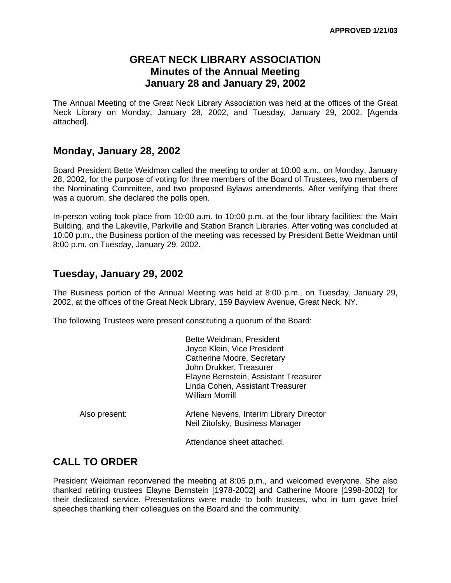#### **GREAT NECK LIBRARY ASSOCIATION Minutes of the Annual Meeting January 28 and January 29, 2002**

The Annual Meeting of the Great Neck Library Association was held at the offices of the Great Neck Library on Monday, January 28, 2002, and Tuesday, January 29, 2002. [Agenda attached].

#### **Monday, January 28, 2002**

Board President Bette Weidman called the meeting to order at 10:00 a.m., on Monday, January 28, 2002, for the purpose of voting for three members of the Board of Trustees, two members of the Nominating Committee, and two proposed Bylaws amendments. After verifying that there was a quorum, she declared the polls open.

In-person voting took place from 10:00 a.m. to 10:00 p.m. at the four library facilities: the Main Building, and the Lakeville, Parkville and Station Branch Libraries. After voting was concluded at 10:00 p.m., the Business portion of the meeting was recessed by President Bette Weidman until 8:00 p.m. on Tuesday, January 29, 2002.

#### **Tuesday, January 29, 2002**

The Business portion of the Annual Meeting was held at 8:00 p.m., on Tuesday, January 29, 2002, at the offices of the Great Neck Library, 159 Bayview Avenue, Great Neck, NY.

The following Trustees were present constituting a quorum of the Board:

|               | Bette Weidman, President<br>Joyce Klein, Vice President<br>Catherine Moore, Secretary<br>John Drukker, Treasurer<br>Elayne Bernstein, Assistant Treasurer<br>Linda Cohen, Assistant Treasurer<br>William Morrill |
|---------------|------------------------------------------------------------------------------------------------------------------------------------------------------------------------------------------------------------------|
| Also present: | Arlene Nevens, Interim Library Director<br>Neil Zitofsky, Business Manager                                                                                                                                       |
|               | Attendance sheet attached.                                                                                                                                                                                       |

# **CALL TO ORDER**

President Weidman reconvened the meeting at 8:05 p.m., and welcomed everyone. She also thanked retiring trustees Elayne Bernstein [1978-2002] and Catherine Moore [1998-2002] for their dedicated service. Presentations were made to both trustees, who in turn gave brief speeches thanking their colleagues on the Board and the community.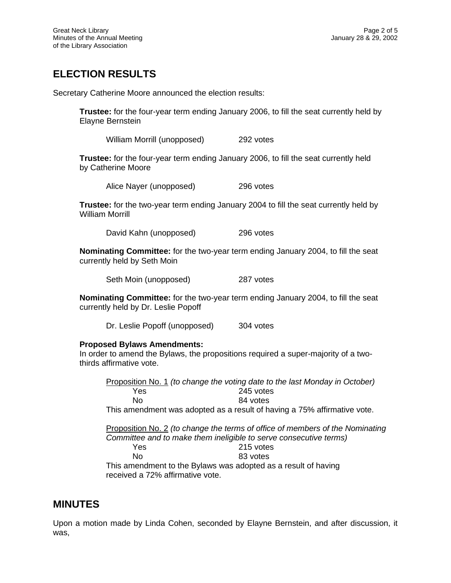# **ELECTION RESULTS**

Secretary Catherine Moore announced the election results:

**Trustee:** for the four-year term ending January 2006, to fill the seat currently held by Elayne Bernstein

William Morrill (unopposed) 292 votes

**Trustee:** for the four-year term ending January 2006, to fill the seat currently held by Catherine Moore

Alice Nayer (unopposed) 296 votes

**Trustee:** for the two-year term ending January 2004 to fill the seat currently held by William Morrill

David Kahn (unopposed) 296 votes

**Nominating Committee:** for the two-year term ending January 2004, to fill the seat currently held by Seth Moin

Seth Moin (unopposed) 287 votes

**Nominating Committee:** for the two-year term ending January 2004, to fill the seat currently held by Dr. Leslie Popoff

Dr. Leslie Popoff (unopposed) 304 votes

#### **Proposed Bylaws Amendments:**

In order to amend the Bylaws, the propositions required a super-majority of a twothirds affirmative vote.

Proposition No. 1 *(to change the voting date to the last Monday in October)* Yes 245 votes No 84 votes This amendment was adopted as a result of having a 75% affirmative vote.

Proposition No. 2 *(to change the terms of office of members of the Nominating Committee and to make them ineligible to serve consecutive terms)* Yes 215 votes No 83 votes

This amendment to the Bylaws was adopted as a result of having received a 72% affirmative vote.

#### **MINUTES**

Upon a motion made by Linda Cohen, seconded by Elayne Bernstein, and after discussion, it was,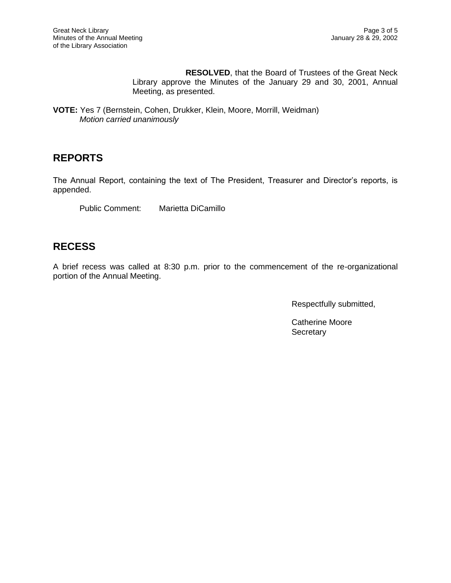**RESOLVED**, that the Board of Trustees of the Great Neck Library approve the Minutes of the January 29 and 30, 2001, Annual Meeting, as presented.

**VOTE:** Yes 7 (Bernstein, Cohen, Drukker, Klein, Moore, Morrill, Weidman) *Motion carried unanimously*

### **REPORTS**

The Annual Report, containing the text of The President, Treasurer and Director's reports, is appended.

Public Comment: Marietta DiCamillo

# **RECESS**

A brief recess was called at 8:30 p.m. prior to the commencement of the re-organizational portion of the Annual Meeting.

Respectfully submitted,

Catherine Moore **Secretary**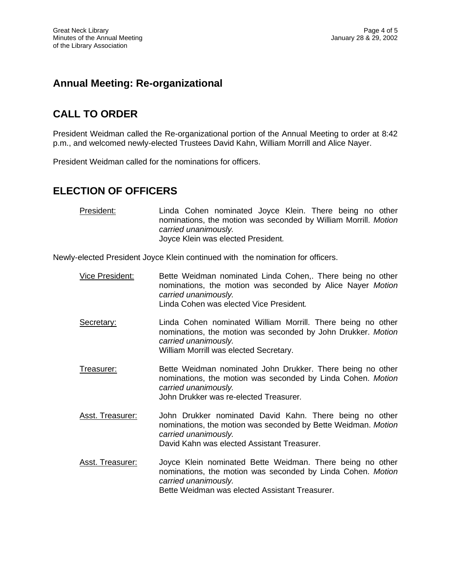# **Annual Meeting: Re-organizational**

# **CALL TO ORDER**

President Weidman called the Re-organizational portion of the Annual Meeting to order at 8:42 p.m., and welcomed newly-elected Trustees David Kahn, William Morrill and Alice Nayer.

President Weidman called for the nominations for officers.

# **ELECTION OF OFFICERS**

| President: | Linda Cohen nominated Joyce Klein. There being no other         |
|------------|-----------------------------------------------------------------|
|            | nominations, the motion was seconded by William Morrill. Motion |
|            | carried unanimously.                                            |
|            | Joyce Klein was elected President.                              |

Newly-elected President Joyce Klein continued with the nomination for officers.

| Vice President:  | Bette Weidman nominated Linda Cohen,. There being no other<br>nominations, the motion was seconded by Alice Nayer Motion<br>carried unanimously.<br>Linda Cohen was elected Vice President.        |
|------------------|----------------------------------------------------------------------------------------------------------------------------------------------------------------------------------------------------|
| Secretary:       | Linda Cohen nominated William Morrill. There being no other<br>nominations, the motion was seconded by John Drukker. Motion<br>carried unanimously.<br>William Morrill was elected Secretary.      |
| Treasurer:       | Bette Weidman nominated John Drukker. There being no other<br>nominations, the motion was seconded by Linda Cohen. Motion<br>carried unanimously.<br>John Drukker was re-elected Treasurer.        |
| Asst. Treasurer: | John Drukker nominated David Kahn. There being no other<br>nominations, the motion was seconded by Bette Weidman. Motion<br>carried unanimously.<br>David Kahn was elected Assistant Treasurer.    |
| Asst. Treasurer: | Joyce Klein nominated Bette Weidman. There being no other<br>nominations, the motion was seconded by Linda Cohen. Motion<br>carried unanimously.<br>Bette Weidman was elected Assistant Treasurer. |